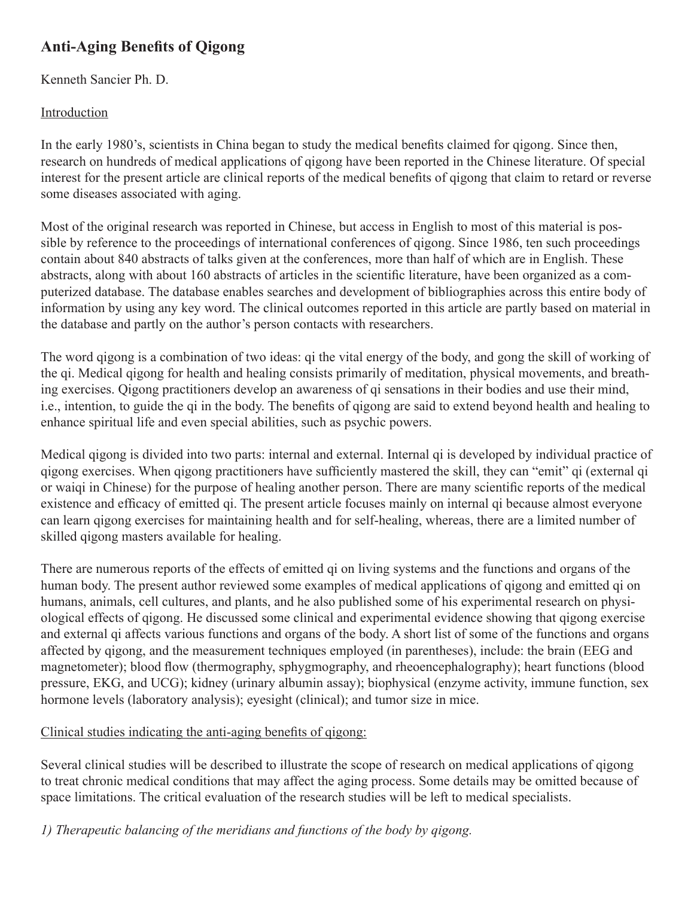# **Anti-Aging Benefits of Qigong**

Kenneth Sancier Ph. D.

### Introduction

In the early 1980's, scientists in China began to study the medical benefits claimed for qigong. Since then, research on hundreds of medical applications of qigong have been reported in the Chinese literature. Of special interest for the present article are clinical reports of the medical benefits of qigong that claim to retard or reverse some diseases associated with aging.

Most of the original research was reported in Chinese, but access in English to most of this material is possible by reference to the proceedings of international conferences of qigong. Since 1986, ten such proceedings contain about 840 abstracts of talks given at the conferences, more than half of which are in English. These abstracts, along with about 160 abstracts of articles in the scientific literature, have been organized as a computerized database. The database enables searches and development of bibliographies across this entire body of information by using any key word. The clinical outcomes reported in this article are partly based on material in the database and partly on the author's person contacts with researchers.

The word qigong is a combination of two ideas: qi the vital energy of the body, and gong the skill of working of the qi. Medical qigong for health and healing consists primarily of meditation, physical movements, and breathing exercises. Qigong practitioners develop an awareness of qi sensations in their bodies and use their mind, i.e., intention, to guide the qi in the body. The benefits of qigong are said to extend beyond health and healing to enhance spiritual life and even special abilities, such as psychic powers.

Medical qigong is divided into two parts: internal and external. Internal qi is developed by individual practice of qigong exercises. When qigong practitioners have sufficiently mastered the skill, they can "emit" qi (external qi or waiqi in Chinese) for the purpose of healing another person. There are many scientific reports of the medical existence and efficacy of emitted qi. The present article focuses mainly on internal qi because almost everyone can learn qigong exercises for maintaining health and for self-healing, whereas, there are a limited number of skilled qigong masters available for healing.

There are numerous reports of the effects of emitted qi on living systems and the functions and organs of the human body. The present author reviewed some examples of medical applications of qigong and emitted qi on humans, animals, cell cultures, and plants, and he also published some of his experimental research on physiological effects of qigong. He discussed some clinical and experimental evidence showing that qigong exercise and external qi affects various functions and organs of the body. A short list of some of the functions and organs affected by qigong, and the measurement techniques employed (in parentheses), include: the brain (EEG and magnetometer); blood flow (thermography, sphygmography, and rheoencephalography); heart functions (blood pressure, EKG, and UCG); kidney (urinary albumin assay); biophysical (enzyme activity, immune function, sex hormone levels (laboratory analysis); eyesight (clinical); and tumor size in mice.

# Clinical studies indicating the anti-aging benefits of qigong:

Several clinical studies will be described to illustrate the scope of research on medical applications of qigong to treat chronic medical conditions that may affect the aging process. Some details may be omitted because of space limitations. The critical evaluation of the research studies will be left to medical specialists.

*1) Therapeutic balancing of the meridians and functions of the body by qigong.*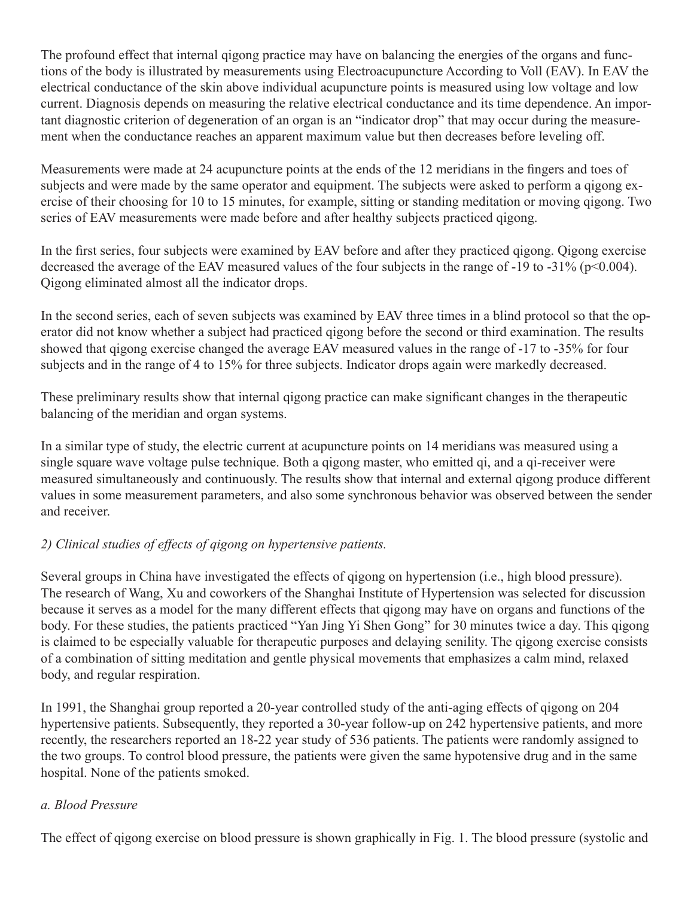The profound effect that internal qigong practice may have on balancing the energies of the organs and functions of the body is illustrated by measurements using Electroacupuncture According to Voll (EAV). In EAV the electrical conductance of the skin above individual acupuncture points is measured using low voltage and low current. Diagnosis depends on measuring the relative electrical conductance and its time dependence. An important diagnostic criterion of degeneration of an organ is an "indicator drop" that may occur during the measurement when the conductance reaches an apparent maximum value but then decreases before leveling off.

Measurements were made at 24 acupuncture points at the ends of the 12 meridians in the fingers and toes of subjects and were made by the same operator and equipment. The subjects were asked to perform a qigong exercise of their choosing for 10 to 15 minutes, for example, sitting or standing meditation or moving qigong. Two series of EAV measurements were made before and after healthy subjects practiced qigong.

In the first series, four subjects were examined by EAV before and after they practiced qigong. Qigong exercise decreased the average of the EAV measured values of the four subjects in the range of  $-19$  to  $-31\%$  (p<0.004). Qigong eliminated almost all the indicator drops.

In the second series, each of seven subjects was examined by EAV three times in a blind protocol so that the operator did not know whether a subject had practiced qigong before the second or third examination. The results showed that qigong exercise changed the average EAV measured values in the range of -17 to -35% for four subjects and in the range of 4 to 15% for three subjects. Indicator drops again were markedly decreased.

These preliminary results show that internal qigong practice can make significant changes in the therapeutic balancing of the meridian and organ systems.

In a similar type of study, the electric current at acupuncture points on 14 meridians was measured using a single square wave voltage pulse technique. Both a qigong master, who emitted qi, and a qi-receiver were measured simultaneously and continuously. The results show that internal and external qigong produce different values in some measurement parameters, and also some synchronous behavior was observed between the sender and receiver.

### *2) Clinical studies of effects of qigong on hypertensive patients.*

Several groups in China have investigated the effects of qigong on hypertension (i.e., high blood pressure). The research of Wang, Xu and coworkers of the Shanghai Institute of Hypertension was selected for discussion because it serves as a model for the many different effects that qigong may have on organs and functions of the body. For these studies, the patients practiced "Yan Jing Yi Shen Gong" for 30 minutes twice a day. This qigong is claimed to be especially valuable for therapeutic purposes and delaying senility. The qigong exercise consists of a combination of sitting meditation and gentle physical movements that emphasizes a calm mind, relaxed body, and regular respiration.

In 1991, the Shanghai group reported a 20-year controlled study of the anti-aging effects of qigong on 204 hypertensive patients. Subsequently, they reported a 30-year follow-up on 242 hypertensive patients, and more recently, the researchers reported an 18-22 year study of 536 patients. The patients were randomly assigned to the two groups. To control blood pressure, the patients were given the same hypotensive drug and in the same hospital. None of the patients smoked.

### *a. Blood Pressure*

The effect of qigong exercise on blood pressure is shown graphically in Fig. 1. The blood pressure (systolic and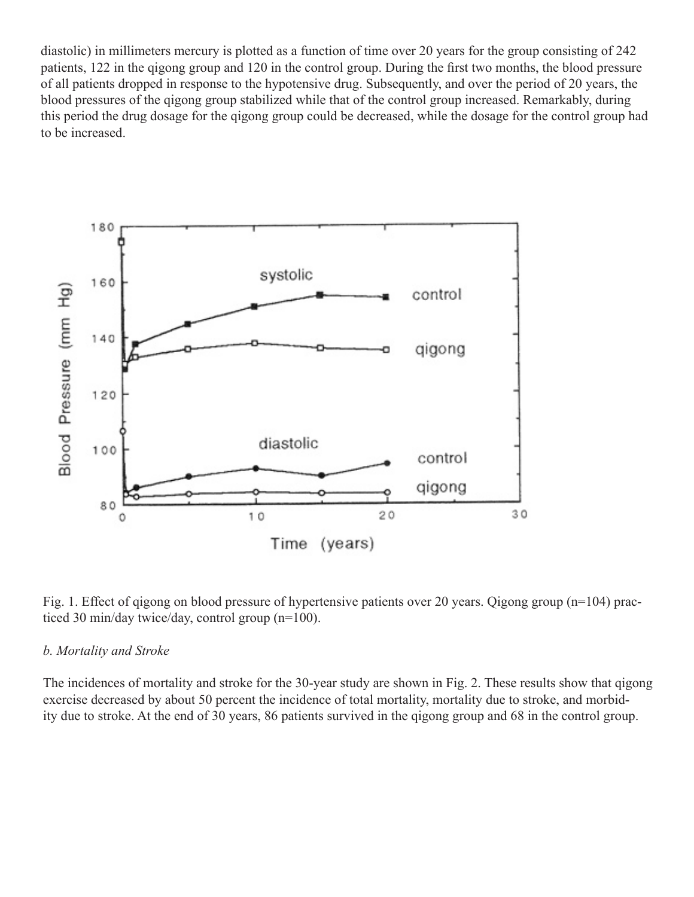diastolic) in millimeters mercury is plotted as a function of time over 20 years for the group consisting of 242 patients, 122 in the qigong group and 120 in the control group. During the first two months, the blood pressure of all patients dropped in response to the hypotensive drug. Subsequently, and over the period of 20 years, the blood pressures of the qigong group stabilized while that of the control group increased. Remarkably, during this period the drug dosage for the qigong group could be decreased, while the dosage for the control group had to be increased.



Fig. 1. Effect of qigong on blood pressure of hypertensive patients over 20 years. Qigong group (n=104) practiced 30 min/day twice/day, control group (n=100).

#### *b. Mortality and Stroke*

The incidences of mortality and stroke for the 30-year study are shown in Fig. 2. These results show that qigong exercise decreased by about 50 percent the incidence of total mortality, mortality due to stroke, and morbidity due to stroke. At the end of 30 years, 86 patients survived in the qigong group and 68 in the control group.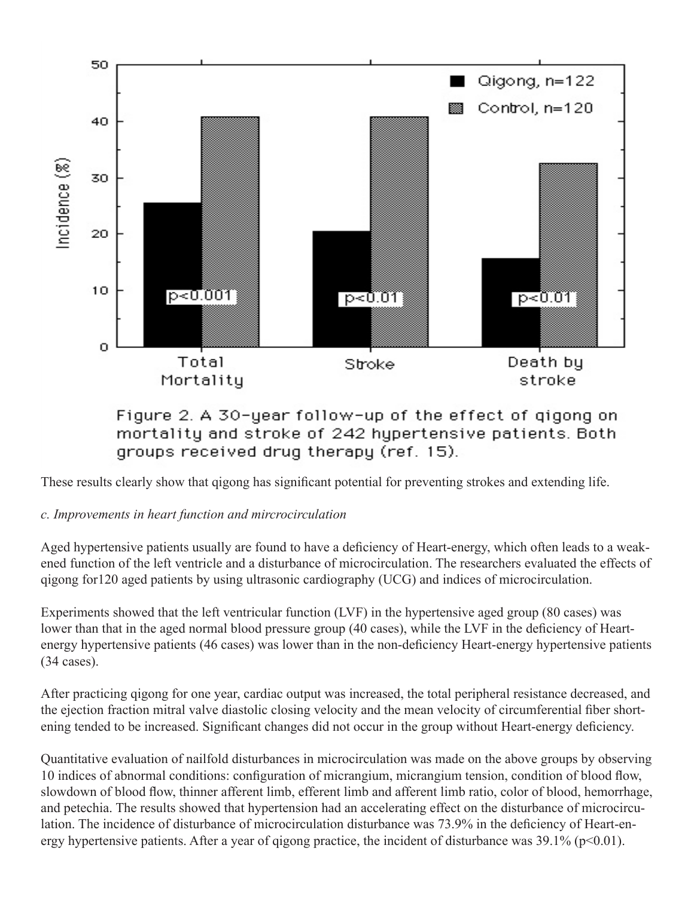

Figure 2. A 30-year follow-up of the effect of gigong on mortality and stroke of 242 hypertensive patients. Both groups received drug therapy (ref. 15).

These results clearly show that qigong has significant potential for preventing strokes and extending life.

# *c. Improvements in heart function and mircrocirculation*

Aged hypertensive patients usually are found to have a deficiency of Heart-energy, which often leads to a weakened function of the left ventricle and a disturbance of microcirculation. The researchers evaluated the effects of qigong for120 aged patients by using ultrasonic cardiography (UCG) and indices of microcirculation.

Experiments showed that the left ventricular function (LVF) in the hypertensive aged group (80 cases) was lower than that in the aged normal blood pressure group (40 cases), while the LVF in the deficiency of Heartenergy hypertensive patients (46 cases) was lower than in the non-deficiency Heart-energy hypertensive patients (34 cases).

After practicing qigong for one year, cardiac output was increased, the total peripheral resistance decreased, and the ejection fraction mitral valve diastolic closing velocity and the mean velocity of circumferential fiber shortening tended to be increased. Significant changes did not occur in the group without Heart-energy deficiency.

Quantitative evaluation of nailfold disturbances in microcirculation was made on the above groups by observing 10 indices of abnormal conditions: configuration of micrangium, micrangium tension, condition of blood flow, slowdown of blood flow, thinner afferent limb, efferent limb and afferent limb ratio, color of blood, hemorrhage, and petechia. The results showed that hypertension had an accelerating effect on the disturbance of microcirculation. The incidence of disturbance of microcirculation disturbance was 73.9% in the deficiency of Heart-energy hypertensive patients. After a year of qigong practice, the incident of disturbance was  $39.1\%$  (p<0.01).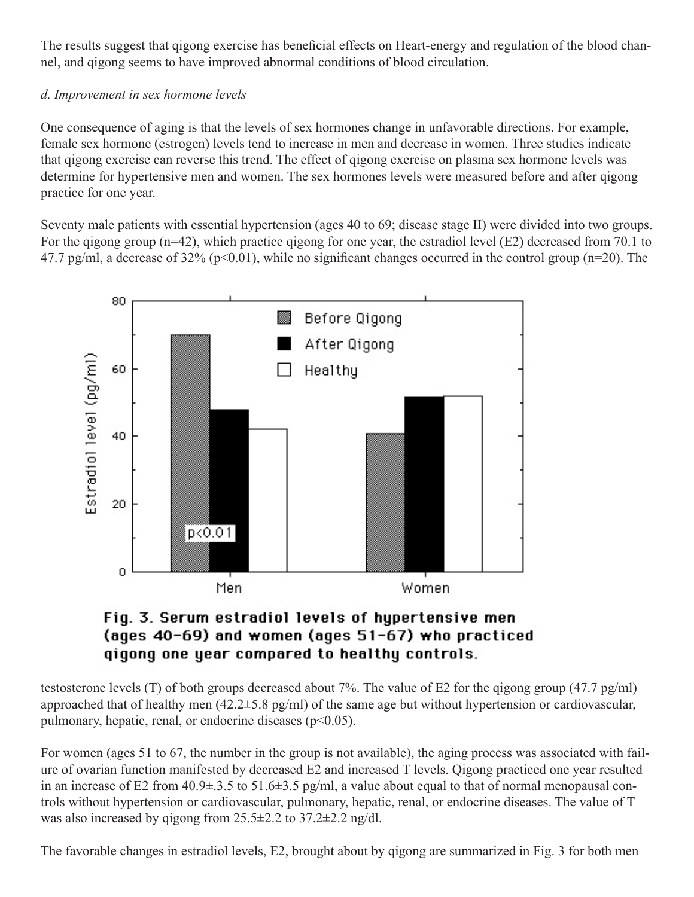The results suggest that qigong exercise has beneficial effects on Heart-energy and regulation of the blood channel, and qigong seems to have improved abnormal conditions of blood circulation.

### *d. Improvement in sex hormone levels*

One consequence of aging is that the levels of sex hormones change in unfavorable directions. For example, female sex hormone (estrogen) levels tend to increase in men and decrease in women. Three studies indicate that qigong exercise can reverse this trend. The effect of qigong exercise on plasma sex hormone levels was determine for hypertensive men and women. The sex hormones levels were measured before and after qigong practice for one year.

Seventy male patients with essential hypertension (ages 40 to 69; disease stage II) were divided into two groups. For the qigong group (n=42), which practice qigong for one year, the estradiol level (E2) decreased from 70.1 to 47.7 pg/ml, a decrease of 32% ( $p<0.01$ ), while no significant changes occurred in the control group ( $n=20$ ). The



# Fig. 3. Serum estradiol levels of hypertensive men (ages 40-69) and women (ages 51-67) who practiced gigong one year compared to healthy controls.

testosterone levels (T) of both groups decreased about 7%. The value of E2 for the qigong group (47.7 pg/ml) approached that of healthy men (42.2±5.8 pg/ml) of the same age but without hypertension or cardiovascular, pulmonary, hepatic, renal, or endocrine diseases  $(p<0.05)$ .

For women (ages 51 to 67, the number in the group is not available), the aging process was associated with failure of ovarian function manifested by decreased E2 and increased T levels. Qigong practiced one year resulted in an increase of E2 from 40.9±.3.5 to 51.6±3.5 pg/ml, a value about equal to that of normal menopausal controls without hypertension or cardiovascular, pulmonary, hepatic, renal, or endocrine diseases. The value of T was also increased by qigong from 25.5±2.2 to 37.2±2.2 ng/dl.

The favorable changes in estradiol levels, E2, brought about by qigong are summarized in Fig. 3 for both men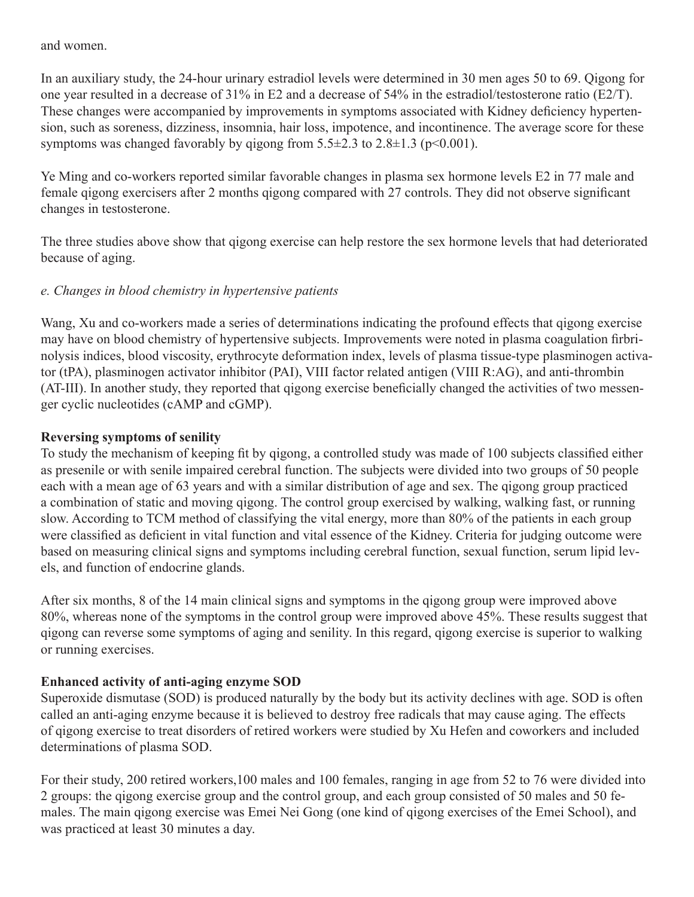and women.

In an auxiliary study, the 24-hour urinary estradiol levels were determined in 30 men ages 50 to 69. Qigong for one year resulted in a decrease of 31% in E2 and a decrease of 54% in the estradiol/testosterone ratio (E2/T). These changes were accompanied by improvements in symptoms associated with Kidney deficiency hypertension, such as soreness, dizziness, insomnia, hair loss, impotence, and incontinence. The average score for these symptoms was changed favorably by qigong from  $5.5\pm2.3$  to  $2.8\pm1.3$  (p<0.001).

Ye Ming and co-workers reported similar favorable changes in plasma sex hormone levels E2 in 77 male and female qigong exercisers after 2 months qigong compared with 27 controls. They did not observe significant changes in testosterone.

The three studies above show that qigong exercise can help restore the sex hormone levels that had deteriorated because of aging.

### *e. Changes in blood chemistry in hypertensive patients*

Wang, Xu and co-workers made a series of determinations indicating the profound effects that qigong exercise may have on blood chemistry of hypertensive subjects. Improvements were noted in plasma coagulation firbrinolysis indices, blood viscosity, erythrocyte deformation index, levels of plasma tissue-type plasminogen activator (tPA), plasminogen activator inhibitor (PAI), VIII factor related antigen (VIII R:AG), and anti-thrombin (AT-III). In another study, they reported that qigong exercise beneficially changed the activities of two messenger cyclic nucleotides (cAMP and cGMP).

### **Reversing symptoms of senility**

To study the mechanism of keeping fit by qigong, a controlled study was made of 100 subjects classified either as presenile or with senile impaired cerebral function. The subjects were divided into two groups of 50 people each with a mean age of 63 years and with a similar distribution of age and sex. The qigong group practiced a combination of static and moving qigong. The control group exercised by walking, walking fast, or running slow. According to TCM method of classifying the vital energy, more than 80% of the patients in each group were classified as deficient in vital function and vital essence of the Kidney. Criteria for judging outcome were based on measuring clinical signs and symptoms including cerebral function, sexual function, serum lipid levels, and function of endocrine glands.

After six months, 8 of the 14 main clinical signs and symptoms in the qigong group were improved above 80%, whereas none of the symptoms in the control group were improved above 45%. These results suggest that qigong can reverse some symptoms of aging and senility. In this regard, qigong exercise is superior to walking or running exercises.

# **Enhanced activity of anti-aging enzyme SOD**

Superoxide dismutase (SOD) is produced naturally by the body but its activity declines with age. SOD is often called an anti-aging enzyme because it is believed to destroy free radicals that may cause aging. The effects of qigong exercise to treat disorders of retired workers were studied by Xu Hefen and coworkers and included determinations of plasma SOD.

For their study, 200 retired workers,100 males and 100 females, ranging in age from 52 to 76 were divided into 2 groups: the qigong exercise group and the control group, and each group consisted of 50 males and 50 females. The main qigong exercise was Emei Nei Gong (one kind of qigong exercises of the Emei School), and was practiced at least 30 minutes a day.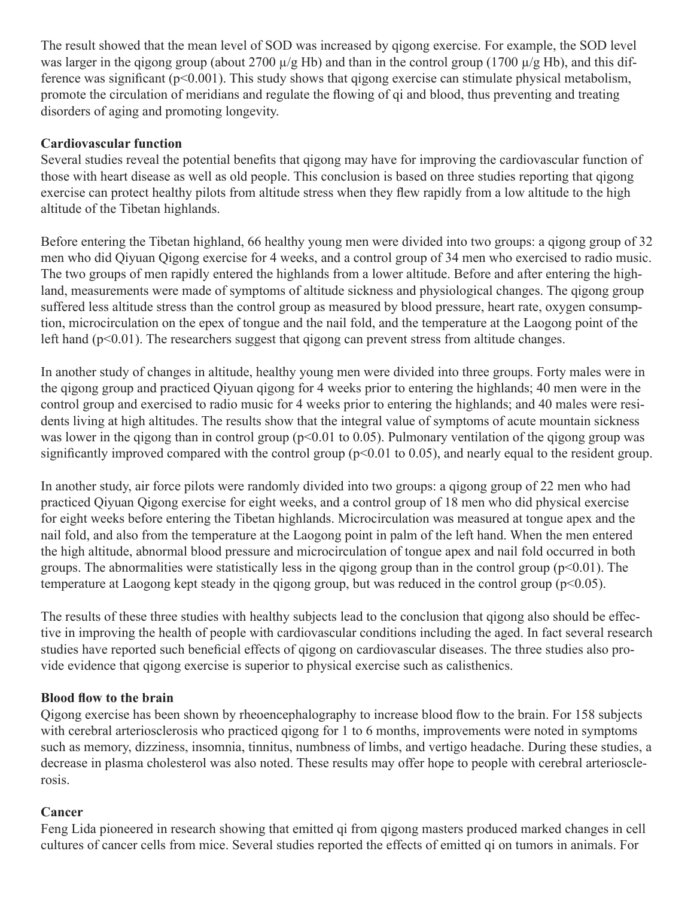The result showed that the mean level of SOD was increased by qigong exercise. For example, the SOD level was larger in the qigong group (about 2700  $\mu$ /g Hb) and than in the control group (1700  $\mu$ /g Hb), and this difference was significant (p<0.001). This study shows that qigong exercise can stimulate physical metabolism, promote the circulation of meridians and regulate the flowing of qi and blood, thus preventing and treating disorders of aging and promoting longevity.

#### **Cardiovascular function**

Several studies reveal the potential benefits that qigong may have for improving the cardiovascular function of those with heart disease as well as old people. This conclusion is based on three studies reporting that qigong exercise can protect healthy pilots from altitude stress when they flew rapidly from a low altitude to the high altitude of the Tibetan highlands.

Before entering the Tibetan highland, 66 healthy young men were divided into two groups: a qigong group of 32 men who did Qiyuan Qigong exercise for 4 weeks, and a control group of 34 men who exercised to radio music. The two groups of men rapidly entered the highlands from a lower altitude. Before and after entering the highland, measurements were made of symptoms of altitude sickness and physiological changes. The qigong group suffered less altitude stress than the control group as measured by blood pressure, heart rate, oxygen consumption, microcirculation on the epex of tongue and the nail fold, and the temperature at the Laogong point of the left hand (p<0.01). The researchers suggest that qigong can prevent stress from altitude changes.

In another study of changes in altitude, healthy young men were divided into three groups. Forty males were in the qigong group and practiced Qiyuan qigong for 4 weeks prior to entering the highlands; 40 men were in the control group and exercised to radio music for 4 weeks prior to entering the highlands; and 40 males were residents living at high altitudes. The results show that the integral value of symptoms of acute mountain sickness was lower in the qigong than in control group ( $p<0.01$  to 0.05). Pulmonary ventilation of the qigong group was significantly improved compared with the control group ( $p<0.01$  to 0.05), and nearly equal to the resident group.

In another study, air force pilots were randomly divided into two groups: a qigong group of 22 men who had practiced Qiyuan Qigong exercise for eight weeks, and a control group of 18 men who did physical exercise for eight weeks before entering the Tibetan highlands. Microcirculation was measured at tongue apex and the nail fold, and also from the temperature at the Laogong point in palm of the left hand. When the men entered the high altitude, abnormal blood pressure and microcirculation of tongue apex and nail fold occurred in both groups. The abnormalities were statistically less in the gigong group than in the control group ( $p<0.01$ ). The temperature at Laogong kept steady in the qigong group, but was reduced in the control group ( $p<0.05$ ).

The results of these three studies with healthy subjects lead to the conclusion that qigong also should be effective in improving the health of people with cardiovascular conditions including the aged. In fact several research studies have reported such beneficial effects of qigong on cardiovascular diseases. The three studies also provide evidence that qigong exercise is superior to physical exercise such as calisthenics.

#### **Blood flow to the brain**

Qigong exercise has been shown by rheoencephalography to increase blood flow to the brain. For 158 subjects with cerebral arteriosclerosis who practiced gigong for 1 to 6 months, improvements were noted in symptoms such as memory, dizziness, insomnia, tinnitus, numbness of limbs, and vertigo headache. During these studies, a decrease in plasma cholesterol was also noted. These results may offer hope to people with cerebral arteriosclerosis.

#### **Cancer**

Feng Lida pioneered in research showing that emitted qi from qigong masters produced marked changes in cell cultures of cancer cells from mice. Several studies reported the effects of emitted qi on tumors in animals. For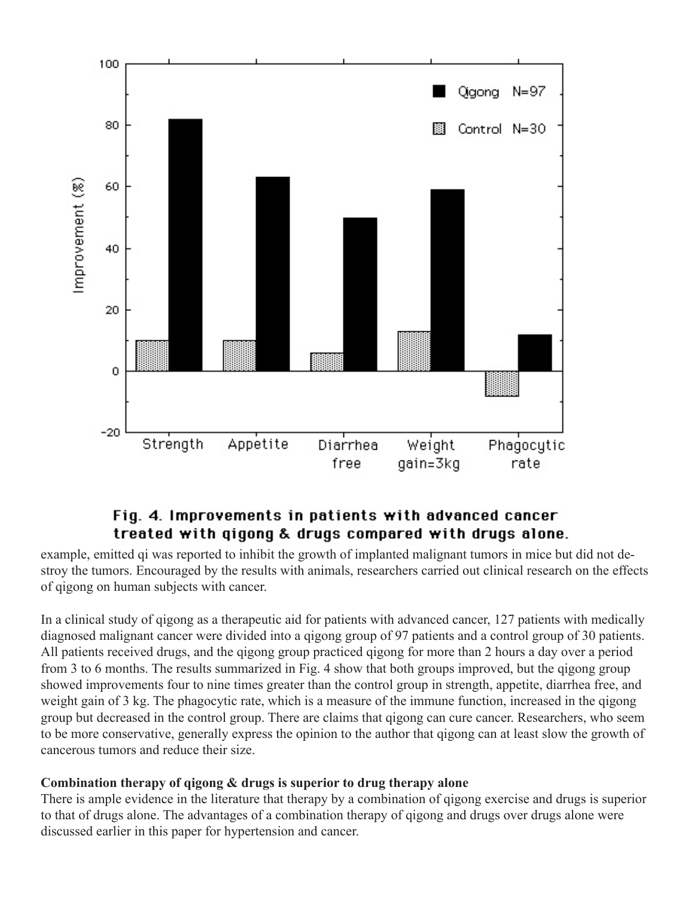

# Fig. 4. Improvements in patients with advanced cancer treated with qigong & drugs compared with drugs alone.

example, emitted qi was reported to inhibit the growth of implanted malignant tumors in mice but did not destroy the tumors. Encouraged by the results with animals, researchers carried out clinical research on the effects of qigong on human subjects with cancer.

In a clinical study of qigong as a therapeutic aid for patients with advanced cancer, 127 patients with medically diagnosed malignant cancer were divided into a qigong group of 97 patients and a control group of 30 patients. All patients received drugs, and the qigong group practiced qigong for more than 2 hours a day over a period from 3 to 6 months. The results summarized in Fig. 4 show that both groups improved, but the qigong group showed improvements four to nine times greater than the control group in strength, appetite, diarrhea free, and weight gain of 3 kg. The phagocytic rate, which is a measure of the immune function, increased in the qigong group but decreased in the control group. There are claims that qigong can cure cancer. Researchers, who seem to be more conservative, generally express the opinion to the author that qigong can at least slow the growth of cancerous tumors and reduce their size.

#### **Combination therapy of qigong & drugs is superior to drug therapy alone**

There is ample evidence in the literature that therapy by a combination of qigong exercise and drugs is superior to that of drugs alone. The advantages of a combination therapy of qigong and drugs over drugs alone were discussed earlier in this paper for hypertension and cancer.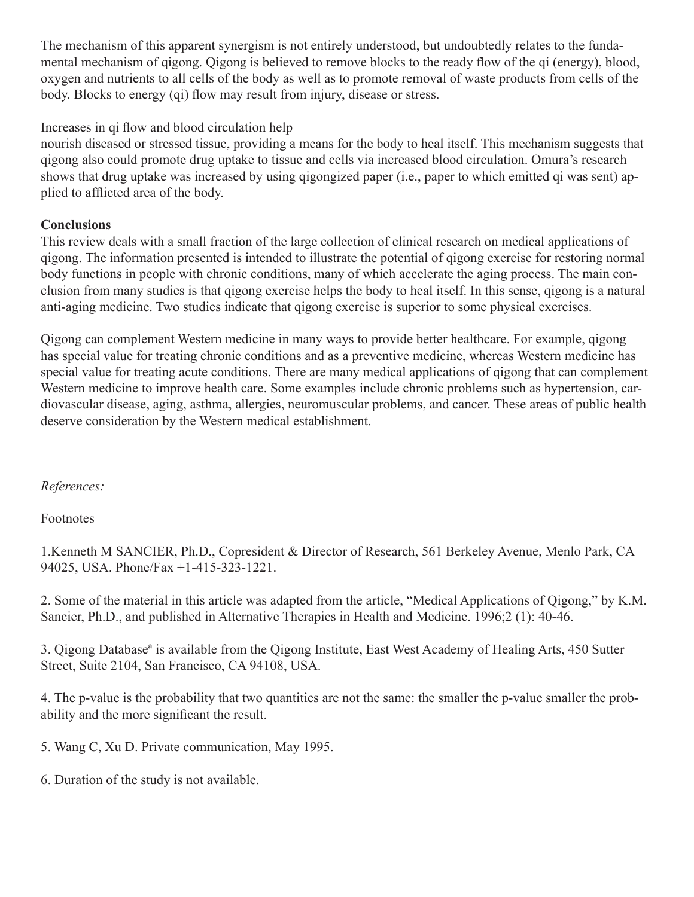The mechanism of this apparent synergism is not entirely understood, but undoubtedly relates to the fundamental mechanism of qigong. Qigong is believed to remove blocks to the ready flow of the qi (energy), blood, oxygen and nutrients to all cells of the body as well as to promote removal of waste products from cells of the body. Blocks to energy (qi) flow may result from injury, disease or stress.

### Increases in qi flow and blood circulation help

nourish diseased or stressed tissue, providing a means for the body to heal itself. This mechanism suggests that qigong also could promote drug uptake to tissue and cells via increased blood circulation. Omura's research shows that drug uptake was increased by using qigongized paper (i.e., paper to which emitted qi was sent) applied to afflicted area of the body.

### **Conclusions**

This review deals with a small fraction of the large collection of clinical research on medical applications of qigong. The information presented is intended to illustrate the potential of qigong exercise for restoring normal body functions in people with chronic conditions, many of which accelerate the aging process. The main conclusion from many studies is that qigong exercise helps the body to heal itself. In this sense, qigong is a natural anti-aging medicine. Two studies indicate that qigong exercise is superior to some physical exercises.

Qigong can complement Western medicine in many ways to provide better healthcare. For example, qigong has special value for treating chronic conditions and as a preventive medicine, whereas Western medicine has special value for treating acute conditions. There are many medical applications of qigong that can complement Western medicine to improve health care. Some examples include chronic problems such as hypertension, cardiovascular disease, aging, asthma, allergies, neuromuscular problems, and cancer. These areas of public health deserve consideration by the Western medical establishment.

### *References:*

#### Footnotes

1.Kenneth M SANCIER, Ph.D., Copresident & Director of Research, 561 Berkeley Avenue, Menlo Park, CA 94025, USA. Phone/Fax +1-415-323-1221.

2. Some of the material in this article was adapted from the article, "Medical Applications of Qigong," by K.M. Sancier, Ph.D., and published in Alternative Therapies in Health and Medicine. 1996;2 (1): 40-46.

3. Qigong Databaseª is available from the Qigong Institute, East West Academy of Healing Arts, 450 Sutter Street, Suite 2104, San Francisco, CA 94108, USA.

4. The p-value is the probability that two quantities are not the same: the smaller the p-value smaller the probability and the more significant the result.

5. Wang C, Xu D. Private communication, May 1995.

6. Duration of the study is not available.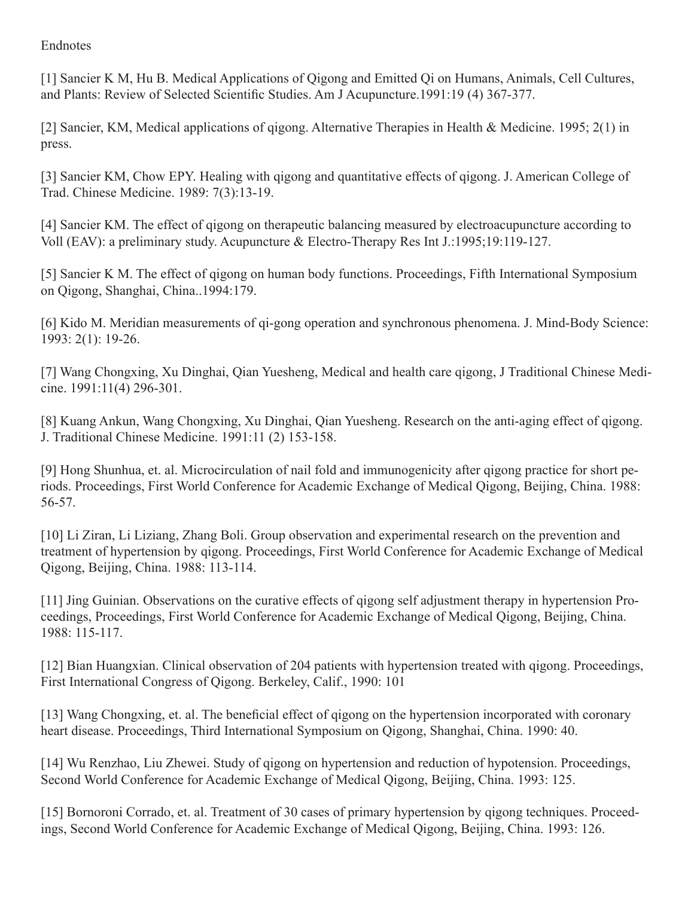#### Endnotes

[1] Sancier K M, Hu B. Medical Applications of Qigong and Emitted Qi on Humans, Animals, Cell Cultures, and Plants: Review of Selected Scientific Studies. Am J Acupuncture.1991:19 (4) 367-377.

[2] Sancier, KM, Medical applications of qigong. Alternative Therapies in Health & Medicine. 1995; 2(1) in press.

[3] Sancier KM, Chow EPY. Healing with qigong and quantitative effects of qigong. J. American College of Trad. Chinese Medicine. 1989: 7(3):13-19.

[4] Sancier KM. The effect of qigong on therapeutic balancing measured by electroacupuncture according to Voll (EAV): a preliminary study. Acupuncture & Electro-Therapy Res Int J.:1995;19:119-127.

[5] Sancier K M. The effect of qigong on human body functions. Proceedings, Fifth International Symposium on Qigong, Shanghai, China..1994:179.

[6] Kido M. Meridian measurements of qi-gong operation and synchronous phenomena. J. Mind-Body Science: 1993: 2(1): 19-26.

[7] Wang Chongxing, Xu Dinghai, Qian Yuesheng, Medical and health care qigong, J Traditional Chinese Medicine. 1991:11(4) 296-301.

[8] Kuang Ankun, Wang Chongxing, Xu Dinghai, Qian Yuesheng. Research on the anti-aging effect of qigong. J. Traditional Chinese Medicine. 1991:11 (2) 153-158.

[9] Hong Shunhua, et. al. Microcirculation of nail fold and immunogenicity after qigong practice for short periods. Proceedings, First World Conference for Academic Exchange of Medical Qigong, Beijing, China. 1988: 56-57.

[10] Li Ziran, Li Liziang, Zhang Boli. Group observation and experimental research on the prevention and treatment of hypertension by qigong. Proceedings, First World Conference for Academic Exchange of Medical Qigong, Beijing, China. 1988: 113-114.

[11] Jing Guinian. Observations on the curative effects of qigong self adjustment therapy in hypertension Proceedings, Proceedings, First World Conference for Academic Exchange of Medical Qigong, Beijing, China. 1988: 115-117.

[12] Bian Huangxian. Clinical observation of 204 patients with hypertension treated with qigong. Proceedings, First International Congress of Qigong. Berkeley, Calif., 1990: 101

[13] Wang Chongxing, et. al. The beneficial effect of qigong on the hypertension incorporated with coronary heart disease. Proceedings, Third International Symposium on Qigong, Shanghai, China. 1990: 40.

[14] Wu Renzhao, Liu Zhewei. Study of qigong on hypertension and reduction of hypotension. Proceedings, Second World Conference for Academic Exchange of Medical Qigong, Beijing, China. 1993: 125.

[15] Bornoroni Corrado, et. al. Treatment of 30 cases of primary hypertension by qigong techniques. Proceedings, Second World Conference for Academic Exchange of Medical Qigong, Beijing, China. 1993: 126.